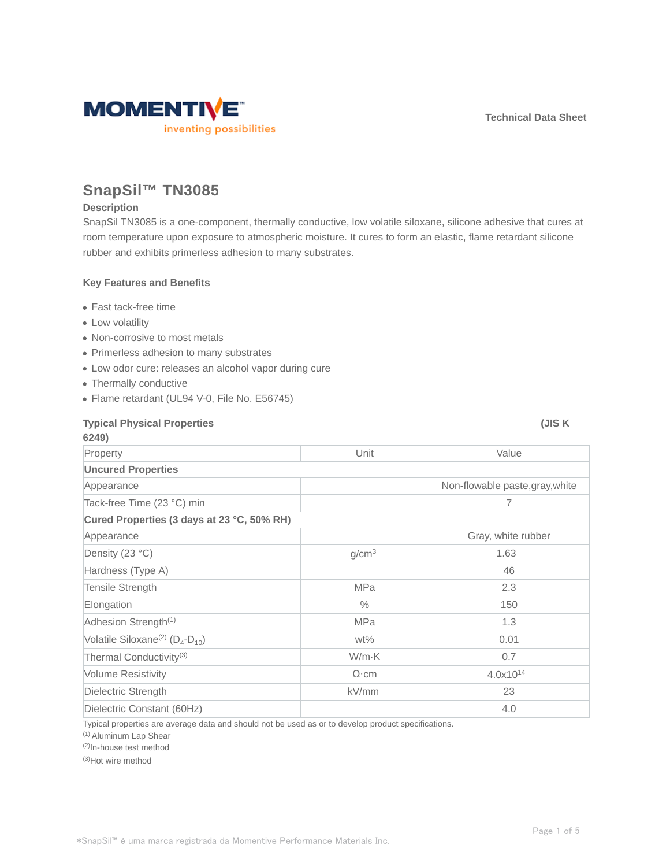

# **SnapSil™ TN3085**

#### **Description**

SnapSil TN3085 is a one-component, thermally conductive, low volatile siloxane, silicone adhesive that cures at room temperature upon exposure to atmospheric moisture. It cures to form an elastic, flame retardant silicone rubber and exhibits primerless adhesion to many substrates.

#### **Key Features and Benefits**

- Fast tack-free time
- Low volatility
- Non-corrosive to most metals
- Primerless adhesion to many substrates
- Low odor cure: releases an alcohol vapor during cure
- Thermally conductive
- Flame retardant (UL94 V-0, File No. E56745)

| <b>Typical Physical Properties</b><br>6249)           |                   | (JIS K                          |  |  |  |
|-------------------------------------------------------|-------------------|---------------------------------|--|--|--|
| Property                                              | Unit              | Value                           |  |  |  |
| <b>Uncured Properties</b>                             |                   |                                 |  |  |  |
| Appearance                                            |                   | Non-flowable paste, gray, white |  |  |  |
| Tack-free Time (23 °C) min                            |                   | 7                               |  |  |  |
| Cured Properties (3 days at 23 °C, 50% RH)            |                   |                                 |  |  |  |
| Appearance                                            |                   | Gray, white rubber              |  |  |  |
| Density (23 °C)                                       | g/cm <sup>3</sup> | 1.63                            |  |  |  |
| Hardness (Type A)                                     |                   | 46                              |  |  |  |
| Tensile Strength                                      | <b>MPa</b>        | 2.3                             |  |  |  |
| Elongation                                            | $\%$              | 150                             |  |  |  |
| Adhesion Strength <sup>(1)</sup>                      | <b>MPa</b>        | 1.3                             |  |  |  |
| Volatile Siloxane <sup>(2)</sup> ( $D_4$ - $D_{10}$ ) | $wt\%$            | 0.01                            |  |  |  |
| Thermal Conductivity <sup>(3)</sup>                   | W/m·K             | 0.7                             |  |  |  |
| <b>Volume Resistivity</b>                             | $\Omega$ ·cm      | 4.0x10 <sup>14</sup>            |  |  |  |
| Dielectric Strength                                   | kV/mm             | 23                              |  |  |  |
| Dielectric Constant (60Hz)                            |                   | 4.0                             |  |  |  |

Typical properties are average data and should not be used as or to develop product specifications.

(1) Aluminum Lap Shear

(2)In-house test method

(3)Hot wire method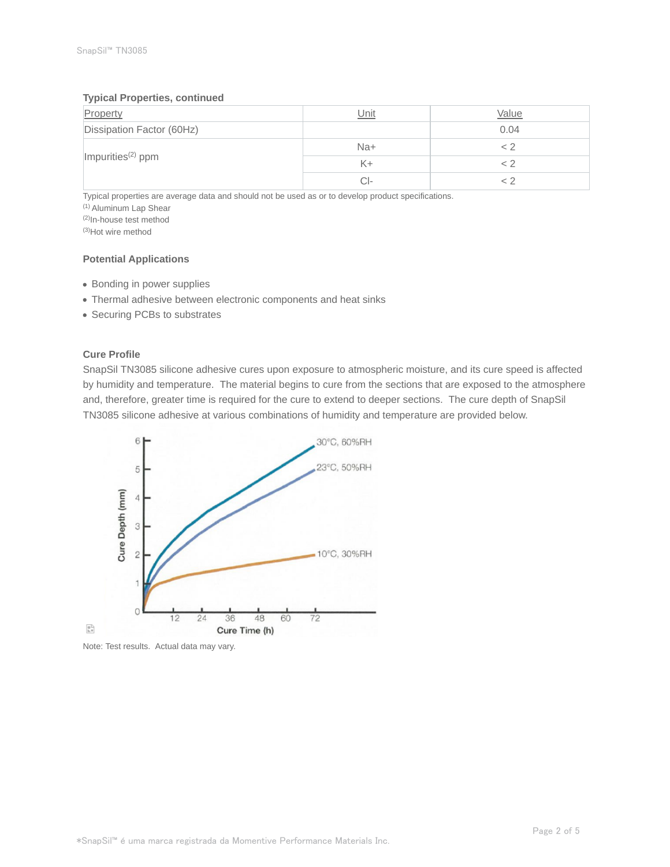#### **Typical Properties, continued**

| Property                      | Unit  | Value |
|-------------------------------|-------|-------|
| Dissipation Factor (60Hz)     |       | 0.04  |
|                               | $Na+$ |       |
| Impurities <sup>(2)</sup> ppm | K+    |       |
|                               | CI-   |       |

Typical properties are average data and should not be used as or to develop product specifications.

(1) Aluminum Lap Shear

(2)In-house test method

(3)Hot wire method

## **Potential Applications**

- Bonding in power supplies
- Thermal adhesive between electronic components and heat sinks
- Securing PCBs to substrates

#### **Cure Profile**

SnapSil TN3085 silicone adhesive cures upon exposure to atmospheric moisture, and its cure speed is affected by humidity and temperature. The material begins to cure from the sections that are exposed to the atmosphere and, therefore, greater time is required for the cure to extend to deeper sections. The cure depth of SnapSil TN3085 silicone adhesive at various combinations of humidity and temperature are provided below.



Note: Test results. Actual data may vary.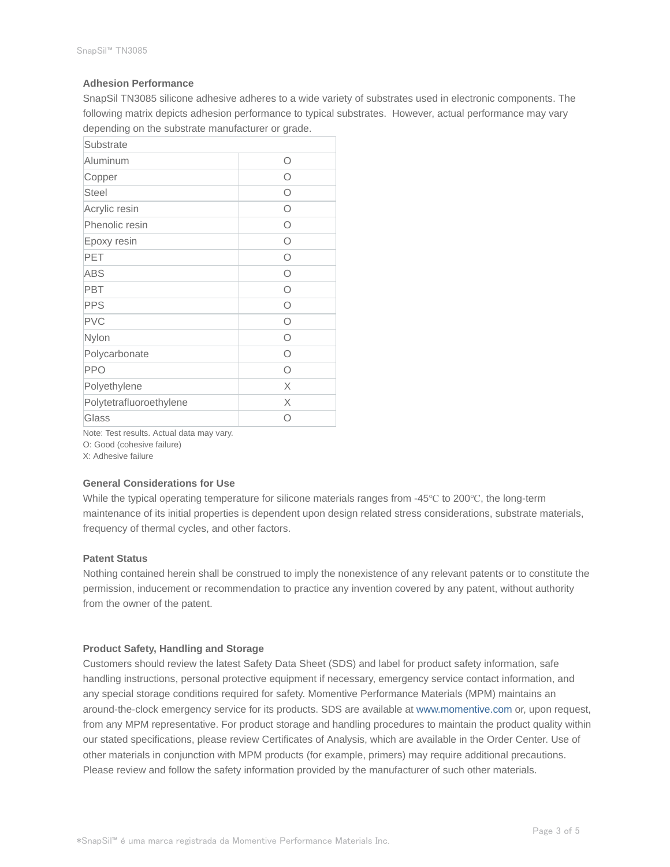#### **Adhesion Performance**

SnapSil TN3085 silicone adhesive adheres to a wide variety of substrates used in electronic components. The following matrix depicts adhesion performance to typical substrates. However, actual performance may vary depending on the substrate manufacturer or grade.

| О          |
|------------|
| Ο          |
| Ω          |
| Ω          |
| Ω          |
| $\circ$    |
| Ω          |
| $\bigcirc$ |
| Ω          |
| Ω          |
| $\bigcap$  |
| ∩          |
| Ω          |
| Ο          |
| X          |
| X          |
| Ω          |
|            |

Note: Test results. Actual data may vary.

O: Good (cohesive failure)

X: Adhesive failure

#### **General Considerations for Use**

While the typical operating temperature for silicone materials ranges from -45℃ to 200℃, the long-term maintenance of its initial properties is dependent upon design related stress considerations, substrate materials, frequency of thermal cycles, and other factors.

### **Patent Status**

Nothing contained herein shall be construed to imply the nonexistence of any relevant patents or to constitute the permission, inducement or recommendation to practice any invention covered by any patent, without authority from the owner of the patent.

#### **Product Safety, Handling and Storage**

Customers should review the latest Safety Data Sheet (SDS) and label for product safety information, safe handling instructions, personal protective equipment if necessary, emergency service contact information, and any special storage conditions required for safety. Momentive Performance Materials (MPM) maintains an around-the-clock emergency service for its products. SDS are available at www.momentive.com or, upon request, from any MPM representative. For product storage and handling procedures to maintain the product quality within our stated specifications, please review Certificates of Analysis, which are available in the Order Center. Use of other materials in conjunction with MPM products (for example, primers) may require additional precautions. Please review and follow the safety information provided by the manufacturer of such other materials.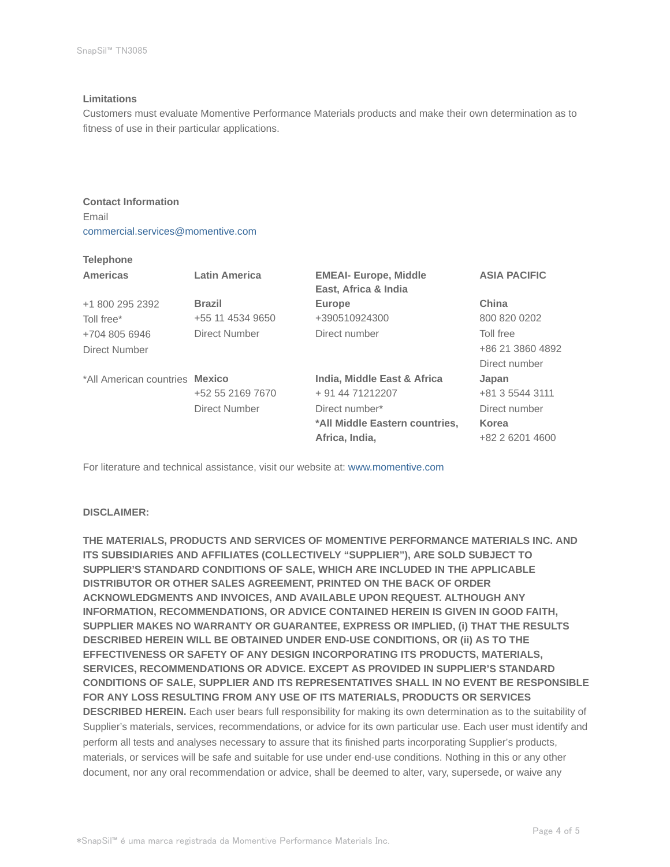#### **Limitations**

Customers must evaluate Momentive Performance Materials products and make their own determination as to fitness of use in their particular applications.

**Contact Information** Email commercial.services@momentive.com

## **Telephone**

| <b>Americas</b>                | Latin America    | <b>EMEAI- Europe, Middle</b><br>East, Africa & India | <b>ASIA PACIFIC</b> |
|--------------------------------|------------------|------------------------------------------------------|---------------------|
| +1 800 295 2392                | <b>Brazil</b>    | <b>Europe</b>                                        | China               |
| Toll free*                     | +55 11 4534 9650 | +390510924300                                        | 800 820 0202        |
| +704 805 6946                  | Direct Number    | Direct number                                        | Toll free           |
| Direct Number                  |                  |                                                      | +86 21 3860 4892    |
|                                |                  |                                                      | Direct number       |
| *All American countries Mexico |                  | India, Middle East & Africa                          | Japan               |
|                                | +52 55 2169 7670 | + 91 44 71212207                                     | +81 3 5544 3111     |
|                                | Direct Number    | Direct number*                                       | Direct number       |
|                                |                  | *All Middle Eastern countries,                       | Korea               |
|                                |                  | Africa, India,                                       | +82 2 6201 4600     |

For literature and technical assistance, visit our website at: www.momentive.com

### **DISCLAIMER:**

**THE MATERIALS, PRODUCTS AND SERVICES OF MOMENTIVE PERFORMANCE MATERIALS INC. AND ITS SUBSIDIARIES AND AFFILIATES (COLLECTIVELY "SUPPLIER"), ARE SOLD SUBJECT TO SUPPLIER'S STANDARD CONDITIONS OF SALE, WHICH ARE INCLUDED IN THE APPLICABLE DISTRIBUTOR OR OTHER SALES AGREEMENT, PRINTED ON THE BACK OF ORDER ACKNOWLEDGMENTS AND INVOICES, AND AVAILABLE UPON REQUEST. ALTHOUGH ANY INFORMATION, RECOMMENDATIONS, OR ADVICE CONTAINED HEREIN IS GIVEN IN GOOD FAITH, SUPPLIER MAKES NO WARRANTY OR GUARANTEE, EXPRESS OR IMPLIED, (i) THAT THE RESULTS DESCRIBED HEREIN WILL BE OBTAINED UNDER END-USE CONDITIONS, OR (ii) AS TO THE EFFECTIVENESS OR SAFETY OF ANY DESIGN INCORPORATING ITS PRODUCTS, MATERIALS, SERVICES, RECOMMENDATIONS OR ADVICE. EXCEPT AS PROVIDED IN SUPPLIER'S STANDARD CONDITIONS OF SALE, SUPPLIER AND ITS REPRESENTATIVES SHALL IN NO EVENT BE RESPONSIBLE FOR ANY LOSS RESULTING FROM ANY USE OF ITS MATERIALS, PRODUCTS OR SERVICES DESCRIBED HEREIN.** Each user bears full responsibility for making its own determination as to the suitability of Supplier's materials, services, recommendations, or advice for its own particular use. Each user must identify and perform all tests and analyses necessary to assure that its finished parts incorporating Supplier's products, materials, or services will be safe and suitable for use under end-use conditions. Nothing in this or any other document, nor any oral recommendation or advice, shall be deemed to alter, vary, supersede, or waive any